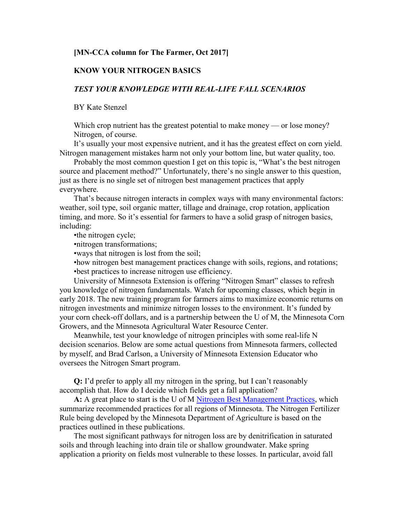## **[MN-CCA column for The Farmer, Oct 2017]**

## **KNOW YOUR NITROGEN BASICS**

## *TEST YOUR KNOWLEDGE WITH REAL-LIFE FALL SCENARIOS*

BY Kate Stenzel

Which crop nutrient has the greatest potential to make money — or lose money? Nitrogen, of course.

It's usually your most expensive nutrient, and it has the greatest effect on corn yield. Nitrogen management mistakes harm not only your bottom line, but water quality, too.

Probably the most common question I get on this topic is, "What's the best nitrogen source and placement method?" Unfortunately, there's no single answer to this question, just as there is no single set of nitrogen best management practices that apply everywhere.

That's because nitrogen interacts in complex ways with many environmental factors: weather, soil type, soil organic matter, tillage and drainage, crop rotation, application timing, and more. So it's essential for farmers to have a solid grasp of nitrogen basics, including:

•the nitrogen cycle;

•nitrogen transformations;

•ways that nitrogen is lost from the soil;

•how nitrogen best management practices change with soils, regions, and rotations;

•best practices to increase nitrogen use efficiency.

University of Minnesota Extension is offering "Nitrogen Smart" classes to refresh you knowledge of nitrogen fundamentals. Watch for upcoming classes, which begin in early 2018. The new training program for farmers aims to maximize economic returns on nitrogen investments and minimize nitrogen losses to the environment. It's funded by your corn check-off dollars, and is a partnership between the U of M, the Minnesota Corn Growers, and the Minnesota Agricultural Water Resource Center.

Meanwhile, test your knowledge of nitrogen principles with some real-life N decision scenarios. Below are some actual questions from Minnesota farmers, collected by myself, and Brad Carlson, a University of Minnesota Extension Educator who oversees the Nitrogen Smart program.

**Q:** I'd prefer to apply all my nitrogen in the spring, but I can't reasonably accomplish that. How do I decide which fields get a fall application?

**A:** A great place to start is the U of M [Nitrogen Best Management Practices,](http://www.extension.umn.edu/agriculture/nutrient-management) which summarize recommended practices for all regions of Minnesota. The Nitrogen Fertilizer Rule being developed by the Minnesota Department of Agriculture is based on the practices outlined in these publications.

The most significant pathways for nitrogen loss are by denitrification in saturated soils and through leaching into drain tile or shallow groundwater. Make spring application a priority on fields most vulnerable to these losses. In particular, avoid fall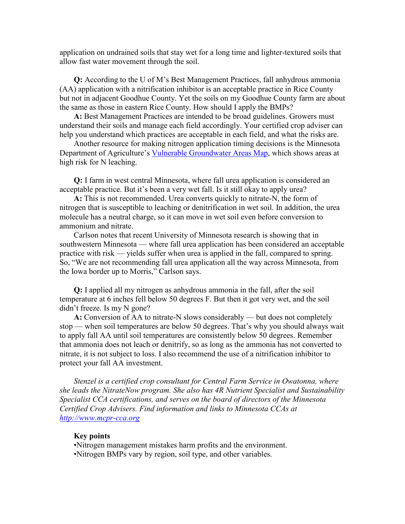application on undrained soils that stay wet for a long time and lighter-textured soils that allow fast water movement through the soil.

**Q:** According to the U of M's Best Management Practices, fall anhydrous ammonia (AA) application with a nitrification inhibitor is an acceptable practice in Rice County but not in adjacent Goodhue County. Yet the soils on my Goodhue County farm are about the same as those in eastern Rice County. How should I apply the BMPs?

**A:** Best Management Practices are intended to be broad guidelines. Growers must understand their soils and manage each field accordingly. Your certified crop adviser can help you understand which practices are acceptable in each field, and what the risks are.

Another resource for making nitrogen application timing decisions is the Minnesota Department of Agriculture's [Vulnerable Groundwater Areas Map,](http://www.mda.state.mn.us/chemicals/fertilizers/nutrient-mgmt/nitrogenplan/mitigation/wrpr/wrprpart1/vulnerableareamap.aspx) which shows areas at high risk for N leaching.

**Q:** I farm in west central Minnesota, where fall urea application is considered an acceptable practice. But it's been a very wet fall. Is it still okay to apply urea?

**A:** This is not recommended. Urea converts quickly to nitrate-N, the form of nitrogen that is susceptible to leaching or denitrification in wet soil. In addition, the urea molecule has a neutral charge, so it can move in wet soil even before conversion to ammonium and nitrate.

Carlson notes that recent University of Minnesota research is showing that in southwestern Minnesota — where fall urea application has been considered an acceptable practice with risk — yields suffer when urea is applied in the fall, compared to spring. So, "We are not recommending fall urea application all the way across Minnesota, from the Iowa border up to Morris," Carlson says.

**Q:** I applied all my nitrogen as anhydrous ammonia in the fall, after the soil temperature at 6 inches fell below 50 degrees F. But then it got very wet, and the soil didn't freeze. Is my N gone?

**A:** Conversion of AA to nitrate-N slows considerably — but does not completely stop — when soil temperatures are below 50 degrees. That's why you should always wait to apply fall AA until soil temperatures are consistently below 50 degrees. Remember that ammonia does not leach or denitrify, so as long as the ammonia has not converted to nitrate, it is not subject to loss. I also recommend the use of a nitrification inhibitor to protect your fall AA investment.

*Stenzel is a certified crop consultant for Central Farm Service in Owatonna, where she leads the NitrateNow program. She also has 4R Nutrient Specialist and Sustainability Specialist CCA certifications, and serves on the board of directors of the Minnesota Certified Crop Advisers. Find information and links to Minnesota CCAs at [http://www.mcpr-cca.org](http://www.mcpr-cca.org/)*

## **Key points**

•Nitrogen management mistakes harm profits and the environment.

•Nitrogen BMPs vary by region, soil type, and other variables.